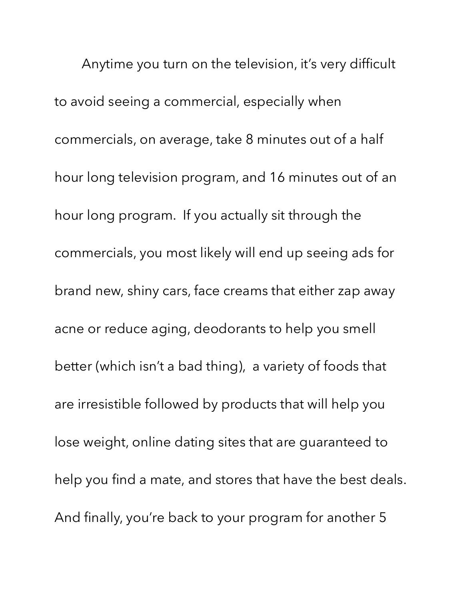Anytime you turn on the television, it's very difficult to avoid seeing a commercial, especially when commercials, on average, take 8 minutes out of a half hour long television program, and 16 minutes out of an hour long program. If you actually sit through the commercials, you most likely will end up seeing ads for brand new, shiny cars, face creams that either zap away acne or reduce aging, deodorants to help you smell better (which isn't a bad thing), a variety of foods that are irresistible followed by products that will help you lose weight, online dating sites that are guaranteed to help you find a mate, and stores that have the best deals. And finally, you're back to your program for another 5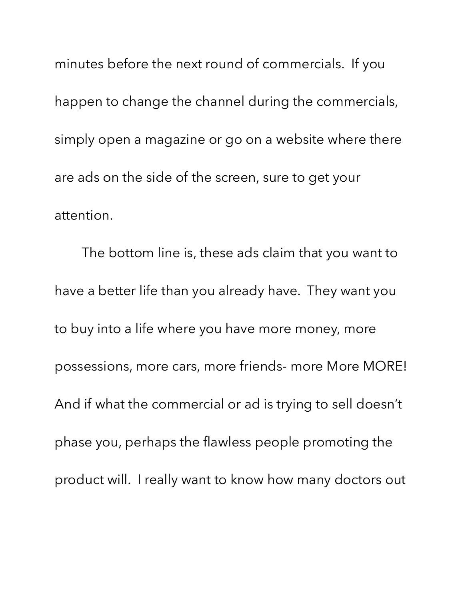minutes before the next round of commercials. If you happen to change the channel during the commercials, simply open a magazine or go on a website where there are ads on the side of the screen, sure to get your attention.

The bottom line is, these ads claim that you want to have a better life than you already have. They want you to buy into a life where you have more money, more possessions, more cars, more friends- more More MORE! And if what the commercial or ad is trying to sell doesn't phase you, perhaps the flawless people promoting the product will. I really want to know how many doctors out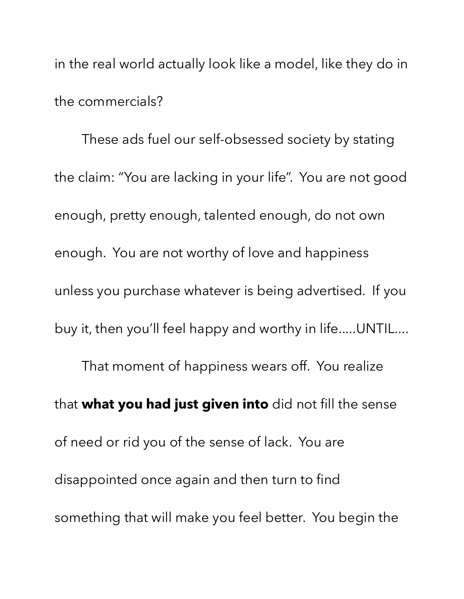in the real world actually look like a model, like they do in the commercials?

These ads fuel our self-obsessed society by stating the claim: "You are lacking in your life". You are not good enough, pretty enough, talented enough, do not own enough. You are not worthy of love and happiness unless you purchase whatever is being advertised. If you buy it, then you'll feel happy and worthy in life.....UNTIL.... That moment of happiness wears off. You realize that **what you had just given into** did not fill the sense of need or rid you of the sense of lack. You are disappointed once again and then turn to find something that will make you feel better. You begin the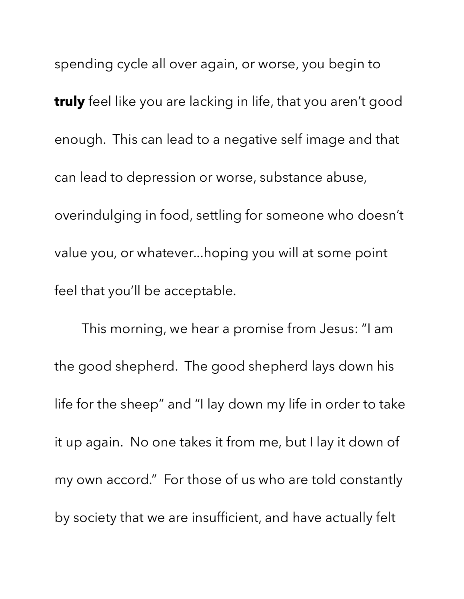spending cycle all over again, or worse, you begin to **truly** feel like you are lacking in life, that you aren't good enough. This can lead to a negative self image and that can lead to depression or worse, substance abuse, overindulging in food, settling for someone who doesn't value you, or whatever...hoping you will at some point feel that you'll be acceptable.

This morning, we hear a promise from Jesus: "I am the good shepherd. The good shepherd lays down his life for the sheep" and "I lay down my life in order to take it up again. No one takes it from me, but I lay it down of my own accord." For those of us who are told constantly by society that we are insufficient, and have actually felt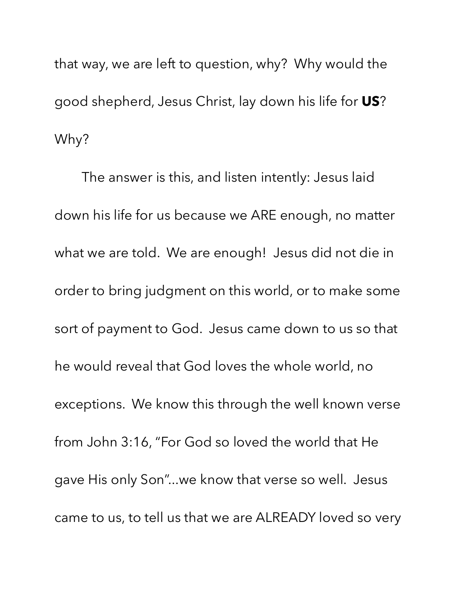that way, we are left to question, why? Why would the good shepherd, Jesus Christ, lay down his life for **US**? Why?

The answer is this, and listen intently: Jesus laid down his life for us because we ARE enough, no matter what we are told. We are enough! Jesus did not die in order to bring judgment on this world, or to make some sort of payment to God. Jesus came down to us so that he would reveal that God loves the whole world, no exceptions. We know this through the well known verse from John 3:16, "For God so loved the world that He gave His only Son"...we know that verse so well. Jesus came to us, to tell us that we are ALREADY loved so very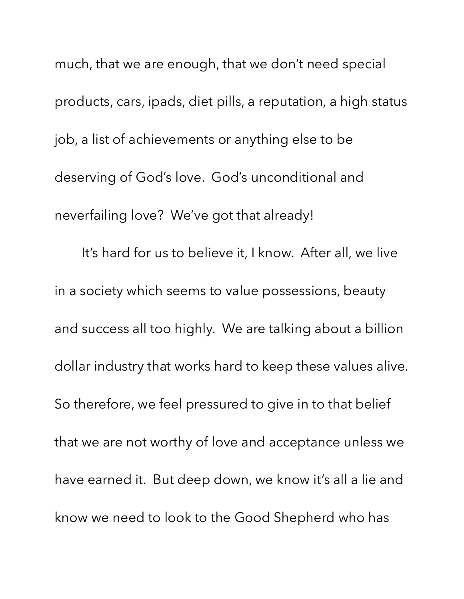much, that we are enough, that we don't need special products, cars, ipads, diet pills, a reputation, a high status job, a list of achievements or anything else to be deserving of God's love. God's unconditional and neverfailing love? We've got that already! It's hard for us to believe it, I know. After all, we live in a society which seems to value possessions, beauty and success all too highly. We are talking about a billion dollar industry that works hard to keep these values alive. So therefore, we feel pressured to give in to that belief that we are not worthy of love and acceptance unless we have earned it. But deep down, we know it's all a lie and know we need to look to the Good Shepherd who has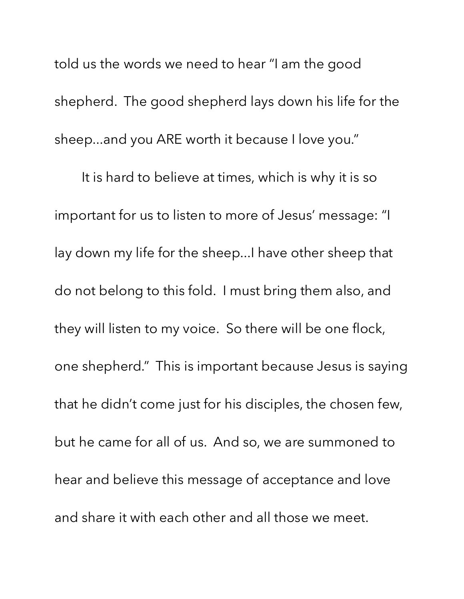told us the words we need to hear "I am the good shepherd. The good shepherd lays down his life for the sheep...and you ARE worth it because I love you."

It is hard to believe at times, which is why it is so important for us to listen to more of Jesus' message: "I lay down my life for the sheep...I have other sheep that do not belong to this fold. I must bring them also, and they will listen to my voice. So there will be one flock, one shepherd." This is important because Jesus is saying that he didn't come just for his disciples, the chosen few, but he came for all of us. And so, we are summoned to hear and believe this message of acceptance and love and share it with each other and all those we meet.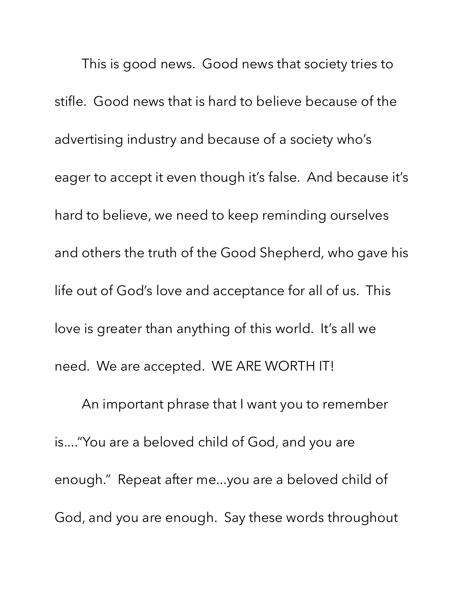This is good news. Good news that society tries to stifle. Good news that is hard to believe because of the advertising industry and because of a society who's eager to accept it even though it's false. And because it's hard to believe, we need to keep reminding ourselves and others the truth of the Good Shepherd, who gave his life out of God's love and acceptance for all of us. This love is greater than anything of this world. It's all we need. We are accepted. WE ARE WORTH IT!

An important phrase that I want you to remember is...."You are a beloved child of God, and you are enough." Repeat after me...you are a beloved child of God, and you are enough. Say these words throughout